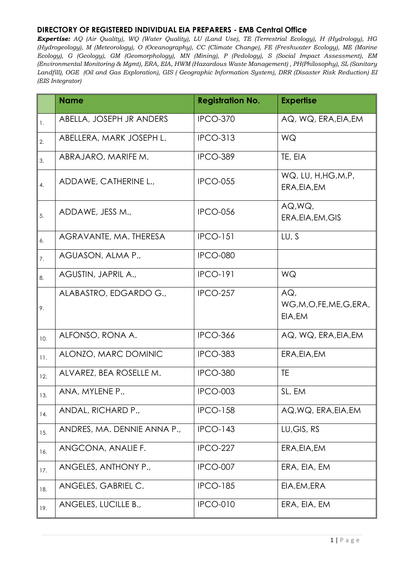|     | <b>Name</b>                 | <b>Registration No.</b> | <b>Expertise</b>                      |
|-----|-----------------------------|-------------------------|---------------------------------------|
| 1.  | ABELLA, JOSEPH JR ANDERS    | <b>IPCO-370</b>         | AQ, WQ, ERA, EIA, EM                  |
| 2.  | ABELLERA, MARK JOSEPH L.    | <b>IPCO-313</b>         | WQ                                    |
| 3.  | ABRAJARO, MARIFE M.         | <b>IPCO-389</b>         | TE, EIA                               |
| 4.  | ADDAWE, CATHERINE L.,       | <b>IPCO-055</b>         | WQ, LU, H, HG, M, P,<br>ERA, EIA, EM  |
| 5.  | ADDAWE, JESS M.,            | <b>IPCO-056</b>         | AQ, WQ,<br>ERA, EIA, EM, GIS          |
| 6.  | AGRAVANTE, MA. THERESA      | <b>IPCO-151</b>         | LU, S                                 |
| 7.  | AGUASON, ALMA P.,           | <b>IPCO-080</b>         |                                       |
| 8.  | AGUSTIN, JAPRIL A.,         | <b>IPCO-191</b>         | WQ                                    |
| 9.  | ALABASTRO, EDGARDO G.,      | <b>IPCO-257</b>         | AGL<br>WG,M,O,FE,ME,G,ERA,<br>EIA, EM |
| 10. | ALFONSO, RONA A.            | <b>IPCO-366</b>         | AQ, WQ, ERA, EIA, EM                  |
| 11. | ALONZO, MARC DOMINIC        | <b>IPCO-383</b>         | ERA, EIA, EM                          |
| 12. | ALVAREZ, BEA ROSELLE M.     | <b>IPCO-380</b>         | <b>TE</b>                             |
| 13. | ANA, MYLENE P.,             | <b>IPCO-003</b>         | SL, EM                                |
| 14. | ANDAL, RICHARD P.,          | <b>IPCO-158</b>         | AQ, WQ, ERA, EIA, EM                  |
| 15. | ANDRES, MA. DENNIE ANNA P., | <b>IPCO-143</b>         | LU, GIS, RS                           |
| 16. | ANGCONA, ANALIE F.          | IPCO-227                | ERA, EIA, EM                          |
| 17. | ANGELES, ANTHONY P.,        | IPCO-007                | ERA, EIA, EM                          |
| 18. | ANGELES, GABRIEL C.         | <b>IPCO-185</b>         | EIA, EM, ERA                          |
| 19. | ANGELES, LUCILLE B.,        | <b>IPCO-010</b>         | ERA, EIA, EM                          |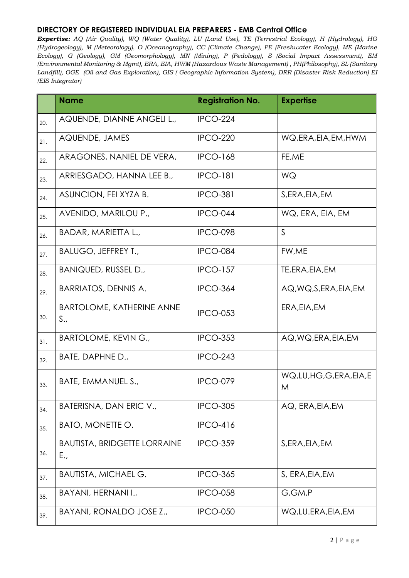|     | <b>Name</b>                                | <b>Registration No.</b> | <b>Expertise</b>          |
|-----|--------------------------------------------|-------------------------|---------------------------|
| 20. | AQUENDE, DIANNE ANGELI L.,                 | <b>IPCO-224</b>         |                           |
| 21. | AQUENDE, JAMES                             | <b>IPCO-220</b>         | WQ,ERA,EIA,EM,HWM         |
| 22. | ARAGONES, NANIEL DE VERA,                  | <b>IPCO-168</b>         | FE,ME                     |
| 23. | ARRIESGADO, HANNA LEE B.,                  | <b>IPCO-181</b>         | WQ                        |
| 24. | ASUNCION, FEI XYZA B.                      | <b>IPCO-381</b>         | S, ERA, EIA, EM           |
| 25. | AVENIDO, MARILOU P.,                       | IPCO-044                | WQ, ERA, EIA, EM          |
| 26. | BADAR, MARIETTA L.,                        | <b>IPCO-098</b>         | $\mathsf{S}$              |
| 27. | <b>BALUGO, JEFFREY T.,</b>                 | <b>IPCO-084</b>         | FW,ME                     |
| 28. | BANIQUED, RUSSEL D.,                       | <b>IPCO-157</b>         | TE, ERA, EIA, EM          |
| 29. | <b>BARRIATOS, DENNIS A.</b>                | <b>IPCO-364</b>         | AQ, WQ, S, ERA, EIA, EM   |
| 30. | <b>BARTOLOME, KATHERINE ANNE</b><br>S.,    | <b>IPCO-053</b>         | ERA, EIA, EM              |
| 31. | <b>BARTOLOME, KEVIN G.,</b>                | <b>IPCO-353</b>         | AQ, WQ, ERA, EIA, EM      |
| 32. | BATE, DAPHNE D.,                           | <b>IPCO-243</b>         |                           |
| 33. | BATE, EMMANUEL S.,                         | <b>IPCO-079</b>         | WQ,LU,HG,G,ERA,EIA,E<br>M |
| 34. | BATERISNA, DAN ERIC V.,                    | <b>IPCO-305</b>         | AQ, ERA, EIA, EM          |
| 35. | <b>BATO, MONETTE O.</b>                    | <b>IPCO-416</b>         |                           |
| 36. | <b>BAUTISTA, BRIDGETTE LORRAINE</b><br>E., | <b>IPCO-359</b>         | S, ERA, EIA, EM           |
| 37. | <b>BAUTISTA, MICHAEL G.</b>                | <b>IPCO-365</b>         | S, ERA, EIA, EM           |
| 38. | BAYANI, HERNANI I.,                        | <b>IPCO-058</b>         | G,GM,P                    |
| 39. | BAYANI, RONALDO JOSE Z.,                   | <b>IPCO-050</b>         | WQ, LU.ERA, EIA, EM       |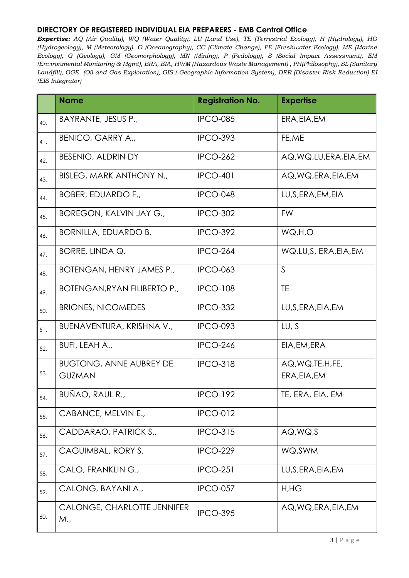|     | <b>Name</b>                                     | <b>Registration No.</b> | <b>Expertise</b>                   |
|-----|-------------------------------------------------|-------------------------|------------------------------------|
| 40. | BAYRANTE, JESUS P.,                             | <b>IPCO-085</b>         | ERA, EIA, EM                       |
| 41. | <b>BENICO, GARRY A.,</b>                        | <b>IPCO-393</b>         | FE,ME                              |
| 42. | <b>BESENIO, ALDRIN DY</b>                       | <b>IPCO-262</b>         | AQ, WQ, LU, ERA, EIA, EM           |
| 43. | <b>BISLEG, MARK ANTHONY N.,</b>                 | <b>IPCO-401</b>         | AQ, WQ, ERA, EIA, EM               |
| 44. | <b>BOBER, EDUARDO F.,</b>                       | IPCO-048                | LU, S, ERA, EM, EIA                |
| 45. | <b>BOREGON, KALVIN JAY G.,</b>                  | <b>IPCO-302</b>         | <b>FW</b>                          |
| 46. | <b>BORNILLA, EDUARDO B.</b>                     | <b>IPCO-392</b>         | WQ,H,O                             |
| 47. | BORRE, LINDA Q.                                 | <b>IPCO-264</b>         | WQ,LU,S, ERA,EIA,EM                |
| 48. | <b>BOTENGAN, HENRY JAMES P.,</b>                | <b>IPCO-063</b>         | $\mathsf{S}$                       |
| 49. | <b>BOTENGAN, RYAN FILIBERTO P.,</b>             | <b>IPCO-108</b>         | TE                                 |
| 50. | <b>BRIONES, NICOMEDES</b>                       | <b>IPCO-332</b>         | LU, S, ERA, EIA, EM                |
| 51. | BUENAVENTURA, KRISHNA V.,                       | IPCO-093                | LU, S                              |
| 52. | BUFI, LEAH A.,                                  | <b>IPCO-246</b>         | EIA, EM, ERA                       |
| 53. | <b>BUGTONG, ANNE AUBREY DE</b><br><b>GUZMAN</b> | <b>IPCO-318</b>         | AQ, WQ, TE, H, FE,<br>ERA, EIA, EM |
| 54. | BUÑAO, RAUL R.,                                 | <b>IPCO-192</b>         | TE, ERA, EIA, EM                   |
| 55. | CABANCE, MELVIN E.,                             | <b>IPCO-012</b>         |                                    |
| 56. | CADDARAO, PATRICK S.,                           | <b>IPCO-315</b>         | AQ, WQ, S                          |
| 57. | CAGUIMBAL, RORY S.                              | <b>IPCO-229</b>         | WQ, SWM                            |
| 58. | CALO, FRANKLING.,                               | <b>IPCO-251</b>         | LU, S, ERA, EIA, EM                |
| 59. | CALONG, BAYANI A.,                              | <b>IPCO-057</b>         | H,HG                               |
| 60. | <b>CALONGE, CHARLOTTE JENNIFER</b><br>M.,       | <b>IPCO-395</b>         | AQ, WQ, ERA, EIA, EM               |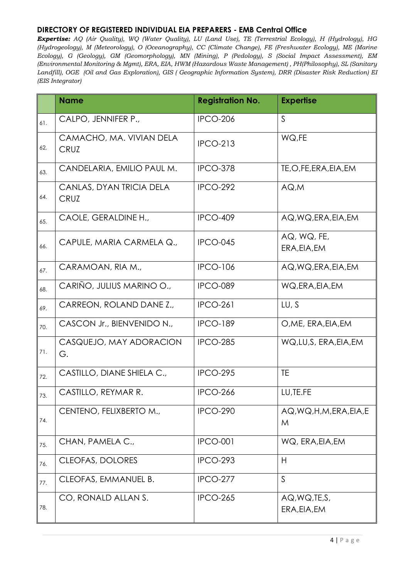|     | <b>Name</b>                             | <b>Registration No.</b> | <b>Expertise</b>               |
|-----|-----------------------------------------|-------------------------|--------------------------------|
| 61. | CALPO, JENNIFER P.,                     | <b>IPCO-206</b>         | S                              |
| 62. | CAMACHO, MA. VIVIAN DELA<br><b>CRUZ</b> | <b>IPCO-213</b>         | WQ,FE                          |
| 63. | CANDELARIA, EMILIO PAUL M.              | <b>IPCO-378</b>         | TE,O,FE,ERA,EIA,EM             |
| 64. | CANLAS, DYAN TRICIA DELA<br><b>CRUZ</b> | <b>IPCO-292</b>         | AQ.M                           |
| 65. | CAOLE, GERALDINE H.,                    | <b>IPCO-409</b>         | AQ, WQ, ERA, EIA, EM           |
| 66. | CAPULE, MARIA CARMELA Q.,               | <b>IPCO-045</b>         | AQ, WQ, FE,<br>ERA, EIA, EM    |
| 67. | CARAMOAN, RIA M.,                       | <b>IPCO-106</b>         | AQ, WQ, ERA, EIA, EM           |
| 68. | CARIÑO, JULIUS MARINO O.,               | <b>IPCO-089</b>         | WQ, ERA, EIA, EM               |
| 69. | CARREON, ROLAND DANE Z.,                | <b>IPCO-261</b>         | LU, S                          |
| 70. | CASCON Jr., BIENVENIDO N.,              | <b>IPCO-189</b>         | O, ME, ERA, EIA, EM            |
| 71. | CASQUEJO, MAY ADORACION<br>G.           | <b>IPCO-285</b>         | WQ, LU, S, ERA, EIA, EM        |
| 72. | CASTILLO, DIANE SHIELA C.,              | <b>IPCO-295</b>         | <b>TE</b>                      |
| 73. | CASTILLO, REYMAR R.                     | <b>IPCO-266</b>         | LU, TE.FE                      |
| 74. | CENTENO, FELIXBERTO M.,                 | <b>IPCO-290</b>         | AQ, WQ, H, M, ERA, EIA, E<br>M |
| 75. | CHAN, PAMELA C.,                        | <b>IPCO-001</b>         | WQ, ERA, EIA, EM               |
| 76. | <b>CLEOFAS, DOLORES</b>                 | <b>IPCO-293</b>         | H                              |
| 77. | CLEOFAS, EMMANUEL B.                    | <b>IPCO-277</b>         | $\mathsf{S}$                   |
| 78. | CO, RONALD ALLAN S.                     | <b>IPCO-265</b>         | AQ, WQ, TE, S,<br>ERA, EIA, EM |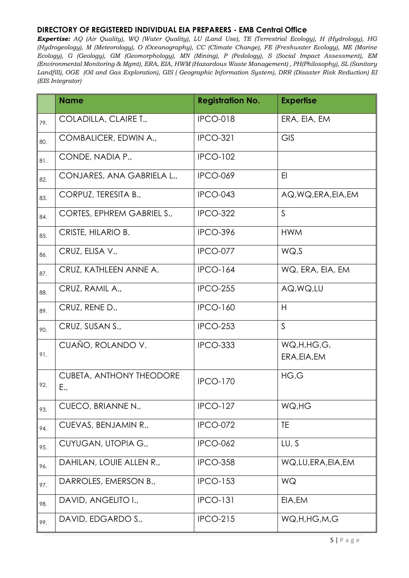|     | <b>Name</b>                            | <b>Registration No.</b> | <b>Expertise</b>           |
|-----|----------------------------------------|-------------------------|----------------------------|
| 79. | COLADILLA, CLAIRE T.,                  | <b>IPCO-018</b>         | ERA, EIA, EM               |
| 80. | COMBALICER, EDWIN A.,                  | <b>IPCO-321</b>         | <b>GIS</b>                 |
| 81. | CONDE, NADIA P.,                       | <b>IPCO-102</b>         |                            |
| 82. | CONJARES, ANA GABRIELA L.,             | <b>IPCO-069</b>         | EI                         |
| 83. | CORPUZ, TERESITA B.,                   | <b>IPCO-043</b>         | AQ, WQ, ERA, EIA, EM       |
| 84. | CORTES, EPHREM GABRIEL S.,             | <b>IPCO-322</b>         | $\mathsf{S}$               |
| 85. | CRISTE, HILARIO B.                     | <b>IPCO-396</b>         | <b>HWM</b>                 |
| 86. | CRUZ, ELISA V.,                        | <b>IPCO-077</b>         | WQ.S                       |
| 87. | CRUZ, KATHLEEN ANNE A.                 | <b>IPCO-164</b>         | WQ, ERA, EIA, EM           |
| 88. | CRUZ, RAMIL A.,                        | <b>IPCO-255</b>         | AQ, WQ, LU                 |
| 89. | CRUZ, RENE D.,                         | <b>IPCO-160</b>         | H                          |
| 90. | CRUZ, SUSAN S.,                        | <b>IPCO-253</b>         | $\mathsf{S}$               |
| 91. | CUAÑO, ROLANDO V.                      | <b>IPCO-333</b>         | WQ,H,HG,G,<br>ERA, EIA, EM |
| 92. | <b>CUBETA, ANTHONY THEODORE</b><br>E., | <b>IPCO-170</b>         | HG,G                       |
| 93. | CUECO, BRIANNE N.,                     | <b>IPCO-127</b>         | WQ,HG                      |
| 94. | CUEVAS, BENJAMIN R.,                   | <b>IPCO-072</b>         | TE.                        |
| 95. | CUYUGAN, UTOPIA G.,                    | <b>IPCO-062</b>         | LU, S                      |
| 96. | DAHILAN, LOUIE ALLEN R.,               | <b>IPCO-358</b>         | WQ, LU, ERA, EIA, EM       |
| 97. | DARROLES, EMERSON B.,                  | <b>IPCO-153</b>         | WQ                         |
| 98. | DAVID, ANGELITO I.,                    | <b>IPCO-131</b>         | EIA, EM                    |
| 99. | DAVID, EDGARDO S.,                     | <b>IPCO-215</b>         | WQ,H,HG,M,G                |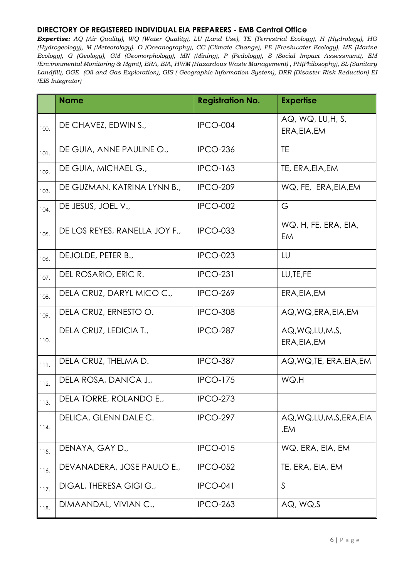|      | <b>Name</b>                   | <b>Registration No.</b> | <b>Expertise</b>                  |
|------|-------------------------------|-------------------------|-----------------------------------|
| 100. | DE CHAVEZ, EDWIN S.,          | IPCO-004                | AQ, WQ, LU, H, S,<br>ERA, EIA, EM |
| 101. | DE GUIA, ANNE PAULINE O.,     | <b>IPCO-236</b>         | <b>TE</b>                         |
| 102. | DE GUIA, MICHAEL G.,          | <b>IPCO-163</b>         | TE, ERA, EIA, EM                  |
| 103. | DE GUZMAN, KATRINA LYNN B.,   | <b>IPCO-209</b>         | WQ, FE, ERA, EIA, EM              |
| 104. | DE JESUS, JOEL V.,            | IPCO-002                | G                                 |
| 105. | DE LOS REYES, RANELLA JOY F., | <b>IPCO-033</b>         | WQ, H, FE, ERA, EIA,<br>EM        |
| 106. | DEJOLDE, PETER B.,            | <b>IPCO-023</b>         | LU                                |
| 107. | DEL ROSARIO, ERIC R.          | <b>IPCO-231</b>         | LU, TE, FE                        |
| 108. | DELA CRUZ, DARYL MICO C.,     | <b>IPCO-269</b>         | ERA, EIA, EM                      |
| 109. | DELA CRUZ, ERNESTO O.         | <b>IPCO-308</b>         | AQ, WQ, ERA, EIA, EM              |
| 110. | DELA CRUZ, LEDICIA T.,        | <b>IPCO-287</b>         | AQ, WQ, LU, M, S,<br>ERA, EIA, EM |
| 111. | DELA CRUZ, THELMA D.          | <b>IPCO-387</b>         | AQ, WQ, TE, ERA, EIA, EM          |
| 112. | DELA ROSA, DANICA J.,         | <b>IPCO-175</b>         | WQ,H                              |
| 113. | DELA TORRE, ROLANDO E.,       | <b>IPCO-273</b>         |                                   |
| 114. | DELICA, GLENN DALE C.         | <b>IPCO-297</b>         | AQ, WQ, LU, M, S, ERA, EIA<br>,EM |
| 115. | DENAYA, GAY D.,               | <b>IPCO-015</b>         | WQ, ERA, EIA, EM                  |
| 116. | DEVANADERA, JOSE PAULO E.,    | <b>IPCO-052</b>         | TE, ERA, EIA, EM                  |
| 117. | DIGAL, THERESA GIGI G.,       | <b>IPCO-041</b>         | $\mathsf S$                       |
| 118. | DIMAANDAL, VIVIAN C.,         | <b>IPCO-263</b>         | AQ, WQ, S                         |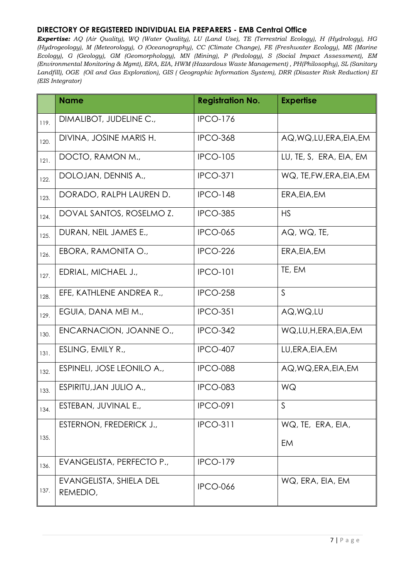|      | <b>Name</b>                         | <b>Registration No.</b> | <b>Expertise</b>         |
|------|-------------------------------------|-------------------------|--------------------------|
| 119. | DIMALIBOT, JUDELINE C.,             | <b>IPCO-176</b>         |                          |
| 120. | DIVINA, JOSINE MARIS H.             | <b>IPCO-368</b>         | AQ, WQ, LU, ERA, EIA, EM |
| 121. | DOCTO, RAMON M.,                    | <b>IPCO-105</b>         | LU, TE, S, ERA, EIA, EM  |
| 122. | DOLOJAN, DENNIS A.,                 | <b>IPCO-371</b>         | WQ, TE, FW, ERA, EIA, EM |
| 123. | DORADO, RALPH LAUREN D.             | <b>IPCO-148</b>         | ERA, EIA, EM             |
| 124. | DOVAL SANTOS, ROSELMO Z.            | <b>IPCO-385</b>         | <b>HS</b>                |
| 125. | DURAN, NEIL JAMES E.,               | <b>IPCO-065</b>         | AQ, WQ, TE,              |
| 126. | EBORA, RAMONITA O.,                 | <b>IPCO-226</b>         | ERA, EIA, EM             |
| 127. | EDRIAL, MICHAEL J.,                 | <b>IPCO-101</b>         | TE, EM                   |
| 128. | EFE, KATHLENE ANDREA R.,            | <b>IPCO-258</b>         | S                        |
| 129. | EGUIA, DANA MEI M.,                 | <b>IPCO-351</b>         | AQ, WQ, LU               |
| 130. | ENCARNACION, JOANNE O.,             | <b>IPCO-342</b>         | WQ,LU,H,ERA,EIA,EM       |
| 131. | ESLING, EMILY R.,                   | <b>IPCO-407</b>         | LU, ERA, EIA, EM         |
| 132. | ESPINELI, JOSE LEONILO A.,          | <b>IPCO-088</b>         | AQ, WQ, ERA, EIA, EM     |
| 133. | ESPIRITU, JAN JULIO A.,             | <b>IPCO-083</b>         | WQ                       |
| 134. | ESTEBAN, JUVINAL E.,                | <b>IPCO-091</b>         | S                        |
|      | ESTERNON, FREDERICK J.,             | <b>IPCO-311</b>         | WQ, TE, ERA, EIA,        |
| 135. |                                     |                         | EM                       |
| 136. | EVANGELISTA, PERFECTO P.,           | <b>IPCO-179</b>         |                          |
| 137. | EVANGELISTA, SHIELA DEL<br>REMEDIO, | <b>IPCO-066</b>         | WQ, ERA, EIA, EM         |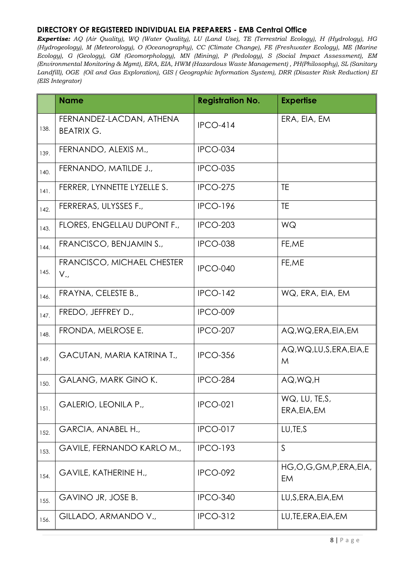|      | <b>Name</b>                                   | <b>Registration No.</b> | <b>Expertise</b>                |
|------|-----------------------------------------------|-------------------------|---------------------------------|
| 138. | FERNANDEZ-LACDAN, ATHENA<br><b>BEATRIX G.</b> | <b>IPCO-414</b>         | ERA, EIA, EM                    |
| 139. | FERNANDO, ALEXIS M.,                          | IPCO-034                |                                 |
| 140. | FERNANDO, MATILDE J.,                         | <b>IPCO-035</b>         |                                 |
| 141. | FERRER, LYNNETTE LYZELLE S.                   | <b>IPCO-275</b>         | <b>TE</b>                       |
| 142. | FERRERAS, ULYSSES F.,                         | <b>IPCO-196</b>         | TE                              |
| 143. | FLORES, ENGELLAU DUPONT F.,                   | <b>IPCO-203</b>         | WQ                              |
| 144. | FRANCISCO, BENJAMIN S.,                       | <b>IPCO-038</b>         | FE,ME                           |
| 145. | FRANCISCO, MICHAEL CHESTER<br>$V_{\cdot}$     | IPCO-040                | FE,ME                           |
| 146. | FRAYNA, CELESTE B.,                           | <b>IPCO-142</b>         | WQ, ERA, EIA, EM                |
| 147. | FREDO, JEFFREY D.,                            | IPCO-009                |                                 |
| 148. | FRONDA, MELROSE E.                            | <b>IPCO-207</b>         | AQ, WQ, ERA, EIA, EM            |
| 149. | GACUTAN, MARIA KATRINA T.,                    | <b>IPCO-356</b>         | AQ, WQ, LU, S, ERA, EIA, E<br>M |
| 150. | <b>GALANG, MARK GINO K.</b>                   | <b>IPCO-284</b>         | AQ, WQ, H                       |
| 151. | GALERIO, LEONILA P.,                          | <b>IPCO-021</b>         | WQ, LU, TE, S,<br>ERA, EIA, EM  |
| 152. | GARCIA, ANABEL H.,                            | <b>IPCO-017</b>         | LU, TE, S                       |
| 153. | GAVILE, FERNANDO KARLO M.,                    | <b>IPCO-193</b>         | $\mathsf{S}$                    |
| 154. | <b>GAVILE, KATHERINE H.,</b>                  | <b>IPCO-092</b>         | HG,O,G,GM,P,ERA,EIA,<br>EM      |
| 155. | GAVINO JR, JOSE B.                            | <b>IPCO-340</b>         | LU, S, ERA, EIA, EM             |
| 156. | GILLADO, ARMANDO V.,                          | <b>IPCO-312</b>         | LU, TE, ERA, EIA, EM            |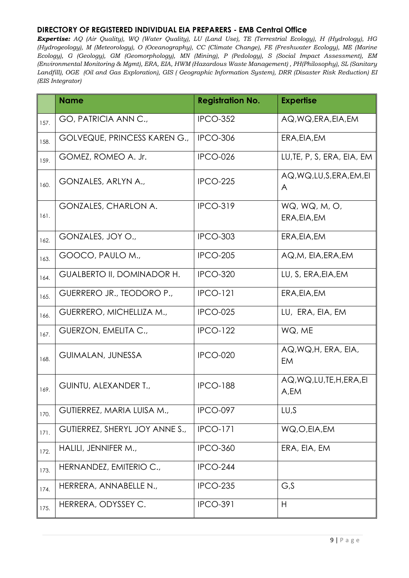|      | <b>Name</b>                         | <b>Registration No.</b> | <b>Expertise</b>                   |
|------|-------------------------------------|-------------------------|------------------------------------|
| 157. | GO, PATRICIA ANN C.,                | <b>IPCO-352</b>         | AQ, WQ, ERA, EIA, EM               |
| 158. | <b>GOLVEQUE, PRINCESS KAREN G.,</b> | <b>IPCO-306</b>         | ERA, EIA, EM                       |
| 159. | GOMEZ, ROMEO A. Jr.                 | <b>IPCO-026</b>         | LU, TE, P, S, ERA, EIA, EM         |
| 160. | GONZALES, ARLYN A.,                 | <b>IPCO-225</b>         | AQ, WQ, LU, S, ERA, EM, EI<br>A    |
| 161. | GONZALES, CHARLON A.                | <b>IPCO-319</b>         | WQ, WQ, M, O,<br>ERA, EIA, EM      |
| 162. | GONZALES, JOY O.,                   | <b>IPCO-303</b>         | ERA, EIA, EM                       |
| 163. | GOOCO, PAULO M.,                    | <b>IPCO-205</b>         | AQ,M, EIA, ERA, EM                 |
| 164. | GUALBERTO II, DOMINADOR H.          | <b>IPCO-320</b>         | LU, S, ERA, EIA, EM                |
| 165. | GUERRERO JR., TEODORO P.,           | <b>IPCO-121</b>         | ERA, EIA, EM                       |
| 166. | GUERRERO, MICHELLIZA M.,            | <b>IPCO-025</b>         | LU, ERA, EIA, EM                   |
| 167. | GUERZON, EMELITA C.,                | <b>IPCO-122</b>         | WQ, ME                             |
| 168. | <b>GUIMALAN, JUNESSA</b>            | <b>IPCO-020</b>         | AQ, WQ, H, ERA, EIA,<br>EM         |
| 169. | GUINTU, ALEXANDER T.,               | <b>IPCO-188</b>         | AQ, WQ, LU, TE, H, ERA, EI<br>A,EM |
| 170. | GUTIERREZ, MARIA LUISA M.,          | <b>IPCO-097</b>         | LU,S                               |
| 171. | GUTIERREZ, SHERYL JOY ANNE S.,      | <b>IPCO-171</b>         | WQ,O,EIA,EM                        |
| 172. | HALILI, JENNIFER M.,                | <b>IPCO-360</b>         | ERA, EIA, EM                       |
| 173. | HERNANDEZ, EMITERIO C.,             | <b>IPCO-244</b>         |                                    |
| 174. | HERRERA, ANNABELLE N.,              | <b>IPCO-235</b>         | G,S                                |
| 175. | HERRERA, ODYSSEY C.                 | <b>IPCO-391</b>         | H                                  |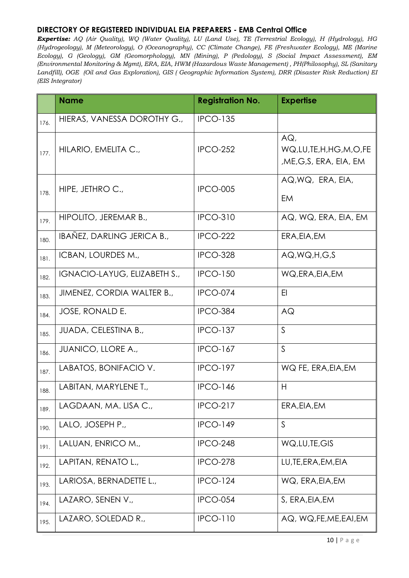|      | <b>Name</b>                  | <b>Registration No.</b> | <b>Expertise</b>                                     |
|------|------------------------------|-------------------------|------------------------------------------------------|
| 176. | HIERAS, VANESSA DOROTHY G.,  | <b>IPCO-135</b>         |                                                      |
| 177. | HILARIO, EMELITA C.,         | <b>IPCO-252</b>         | AGL<br>WQ,LU,TE,H,HG,M,O,FE<br>,ME,G,S, ERA, EIA, EM |
| 178. | HIPE, JETHRO C.,             | <b>IPCO-005</b>         | AQ, WQ, ERA, EIA,<br>EM                              |
| 179. | HIPOLITO, JEREMAR B.,        | <b>IPCO-310</b>         | AQ, WQ, ERA, EIA, EM                                 |
| 180. | IBAÑEZ, DARLING JERICA B.,   | <b>IPCO-222</b>         | ERA, EIA, EM                                         |
| 181. | ICBAN, LOURDES M.,           | <b>IPCO-328</b>         | AQ.WQ.H.G.S                                          |
| 182. | IGNACIO-LAYUG, ELIZABETH S., | <b>IPCO-150</b>         | WQ, ERA, EIA, EM                                     |
| 183. | JIMENEZ, CORDIA WALTER B.,   | <b>IPCO-074</b>         | E <sub>l</sub>                                       |
| 184. | JOSE, RONALD E.              | <b>IPCO-384</b>         | AQ                                                   |
| 185. | JUADA, CELESTINA B.,         | <b>IPCO-137</b>         | $\mathsf{S}$                                         |
| 186. | <b>JUANICO, LLORE A.,</b>    | <b>IPCO-167</b>         | $\mathsf{S}$                                         |
| 187. | LABATOS, BONIFACIO V.        | <b>IPCO-197</b>         | WQ FE, ERA, EIA, EM                                  |
| 188. | LABITAN, MARYLENE T.,        | <b>IPCO-146</b>         | H                                                    |
| 189. | LAGDAAN, MA. LISA C.,        | <b>IPCO-217</b>         | ERA, EIA, EM                                         |
| 190. | LALO, JOSEPH P.,             | <b>IPCO-149</b>         | $\mathsf{S}$                                         |
| 191. | LALUAN, ENRICO M.,           | <b>IPCO-248</b>         | WQ, LU, TE, GIS                                      |
| 192. | LAPITAN, RENATO L.,          | <b>IPCO-278</b>         | LU, TE, ERA, EM, EIA                                 |
| 193. | LARIOSA, BERNADETTE L.,      | <b>IPCO-124</b>         | WQ, ERA, EIA, EM                                     |
| 194. | LAZARO, SENEN V.,            | <b>IPCO-054</b>         | S, ERA, EIA, EM                                      |
| 195. | LAZARO, SOLEDAD R.,          | <b>IPCO-110</b>         | AQ, WQ, FE, ME, EAI, EM                              |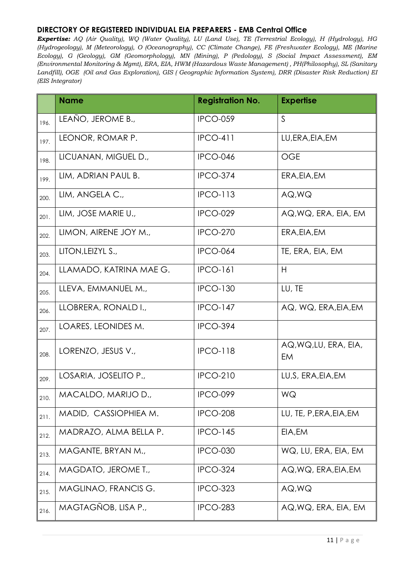|      | <b>Name</b>             | <b>Registration No.</b> | <b>Expertise</b>            |
|------|-------------------------|-------------------------|-----------------------------|
| 196. | LEAÑO, JEROME B.,       | <b>IPCO-059</b>         | $\mathsf{S}$                |
| 197. | LEONOR, ROMAR P.        | <b>IPCO-411</b>         | LU, ERA, EIA, EM            |
| 198. | LICUANAN, MIGUEL D.,    | <b>IPCO-046</b>         | <b>OGE</b>                  |
| 199. | LIM, ADRIAN PAUL B.     | <b>IPCO-374</b>         | ERA, EIA, EM                |
| 200. | LIM, ANGELA C.,         | <b>IPCO-113</b>         | AQ, WQ                      |
| 201. | LIM, JOSE MARIE U.,     | <b>IPCO-029</b>         | AQ, WQ, ERA, EIA, EM        |
| 202. | LIMON, AIRENE JOY M.,   | <b>IPCO-270</b>         | ERA, EIA, EM                |
| 203. | LITON, LEIZYL S.,       | <b>IPCO-064</b>         | TE, ERA, EIA, EM            |
| 204. | LLAMADO, KATRINA MAE G. | <b>IPCO-161</b>         | H                           |
| 205. | LLEVA, EMMANUEL M.,     | <b>IPCO-130</b>         | LU, TE                      |
| 206. | LLOBRERA, RONALD I.,    | <b>IPCO-147</b>         | AQ, WQ, ERA, EIA, EM        |
| 207. | LOARES, LEONIDES M.     | <b>IPCO-394</b>         |                             |
| 208. | LORENZO, JESUS V.,      | <b>IPCO-118</b>         | AQ, WQ, LU, ERA, EIA,<br>EM |
| 209. | LOSARIA, JOSELITO P.,   | <b>IPCO-210</b>         | LU, S, ERA, EIA, EM         |
| 210. | MACALDO, MARIJO D.,     | <b>IPCO-099</b>         | WQ                          |
| 211. | MADID, CASSIOPHIEA M.   | <b>IPCO-208</b>         | LU, TE, P, ERA, EIA, EM     |
| 212. | MADRAZO, ALMA BELLA P.  | <b>IPCO-145</b>         | EIA, EM                     |
| 213. | MAGANTE, BRYAN M.,      | <b>IPCO-030</b>         | WQ, LU, ERA, EIA, EM        |
| 214. | MAGDATO, JEROME T.,     | <b>IPCO-324</b>         | AQ, WQ, ERA, EIA, EM        |
| 215. | MAGLINAO, FRANCIS G.    | <b>IPCO-323</b>         | AQ, WQ                      |
| 216. | MAGTAGÑOB, LISA P.,     | <b>IPCO-283</b>         | AQ, WQ, ERA, EIA, EM        |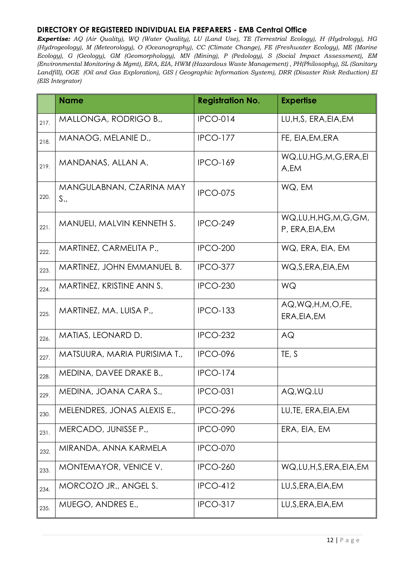|      | <b>Name</b>                     | <b>Registration No.</b> | <b>Expertise</b>                      |
|------|---------------------------------|-------------------------|---------------------------------------|
| 217. | MALLONGA, RODRIGO B.,           | <b>IPCO-014</b>         | LU, H, S, ERA, EIA, EM                |
| 218. | MANAOG, MELANIE D.,             | <b>IPCO-177</b>         | FE, EIA, EM, ERA                      |
| 219. | MANDANAS, ALLAN A.              | <b>IPCO-169</b>         | WQ,LU,HG,M,G,ERA,EI<br>A,EM           |
| 220. | MANGULABNAN, CZARINA MAY<br>S., | <b>IPCO-075</b>         | WQ, EM                                |
| 221. | MANUELI, MALVIN KENNETH S.      | <b>IPCO-249</b>         | WQ,LU,H,HG,M,G,GM,<br>P, ERA, EIA, EM |
| 222. | MARTINEZ, CARMELITA P.,         | <b>IPCO-200</b>         | WQ, ERA, EIA, EM                      |
| 223. | MARTINEZ, JOHN EMMANUEL B.      | <b>IPCO-377</b>         | WQ, S, ERA, EIA, EM                   |
| 224. | MARTINEZ, KRISTINE ANN S.       | <b>IPCO-230</b>         | WQ                                    |
| 225. | MARTINEZ, MA. LUISA P.,         | <b>IPCO-133</b>         | AQ, WQ, H, M, O, FE,<br>ERA, EIA, EM  |
| 226. | MATIAS, LEONARD D.              | <b>IPCO-232</b>         | AQ                                    |
| 227. | MATSUURA, MARIA PURISIMA T.,    | <b>IPCO-096</b>         | TE, S                                 |
| 228. | MEDINA, DAVEE DRAKE B.,         | <b>IPCO-174</b>         |                                       |
| 229. | MEDINA, JOANA CARA S.,          | <b>IPCO-031</b>         | AQ, WQ.LU                             |
| 230. | MELENDRES, JONAS ALEXIS E.,     | <b>IPCO-296</b>         | LU, TE, ERA, EIA, EM                  |
| 231. | MERCADO, JUNISSE P.,            | <b>IPCO-090</b>         | ERA, EIA, EM                          |
| 232. | MIRANDA, ANNA KARMELA           | <b>IPCO-070</b>         |                                       |
| 233. | MONTEMAYOR, VENICE V.           | <b>IPCO-260</b>         | WQ,LU,H,S,ERA,EIA,EM                  |
| 234. | MORCOZO JR., ANGEL S.           | <b>IPCO-412</b>         | LU, S, ERA, EIA, EM                   |
| 235. | MUEGO, ANDRES E.,               | <b>IPCO-317</b>         | LU, S, ERA, EIA, EM                   |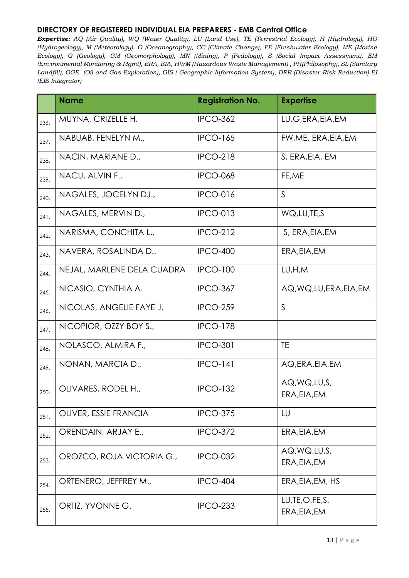|      | <b>Name</b>                | <b>Registration No.</b> | <b>Expertise</b>                  |
|------|----------------------------|-------------------------|-----------------------------------|
| 236. | MUYNA, CRIZELLE H.         | <b>IPCO-362</b>         | LU, G, ERA, EIA, EM               |
| 237. | NABUAB, FENELYN M.,        | <b>IPCO-165</b>         | FW, ME, ERA, EIA, EM              |
| 238. | NACIN, MARIANE D.,         | <b>IPCO-218</b>         | S, ERA, EIA, EM                   |
| 239. | NACU, ALVIN F.,            | <b>IPCO-068</b>         | FE,ME                             |
| 240. | NAGALES, JOCELYN DJ.,      | <b>IPCO-016</b>         | $\mathsf{S}$                      |
| 241. | NAGALES, MERVIN D.,        | <b>IPCO-013</b>         | WQ, LU, TE, S                     |
| 242. | NARISMA, CONCHITA L.,      | <b>IPCO-212</b>         | S, ERA, EIA, EM                   |
| 243. | NAVERA, ROSALINDA D.,      | <b>IPCO-400</b>         | ERA, EIA, EM                      |
| 244. | NEJAL, MARLENE DELA CUADRA | <b>IPCO-100</b>         | LU,H,M                            |
| 245. | NICASIO, CYNTHIA A.        | <b>IPCO-367</b>         | AQ, WQ, LU, ERA, EIA, EM          |
| 246. | NICOLAS, ANGELIE FAYE J.   | <b>IPCO-259</b>         | $\mathsf{S}$                      |
| 247. | NICOPIOR, OZZY BOY S.,     | <b>IPCO-178</b>         |                                   |
| 248. | NOLASCO, ALMIRA F.,        | <b>IPCO-301</b>         | <b>TE</b>                         |
| 249. | NONAN, MARCIA D.,          | <b>IPCO-141</b>         | AQ, ERA, EIA, EM                  |
| 250. | OLIVARES, RODEL H.,        | <b>IPCO-132</b>         | AQ, WQ, LU, S,<br>ERA, EIA, EM    |
| 251. | OLIVER, ESSIE FRANCIA      | <b>IPCO-375</b>         | LU                                |
| 252. | ORENDAIN, ARJAY E.,        | <b>IPCO-372</b>         | ERA, EIA, EM                      |
| 253. | OROZCO, ROJA VICTORIA G.,  | <b>IPCO-032</b>         | AQ, WQ, LU, S,<br>ERA, EIA, EM    |
| 254. | ORTENERO, JEFFREY M.,      | <b>IPCO-404</b>         | ERA, EIA, EM, HS                  |
| 255. | ORTIZ, YVONNE G.           | <b>IPCO-233</b>         | LU, TE, O, FE, S,<br>ERA, EIA, EM |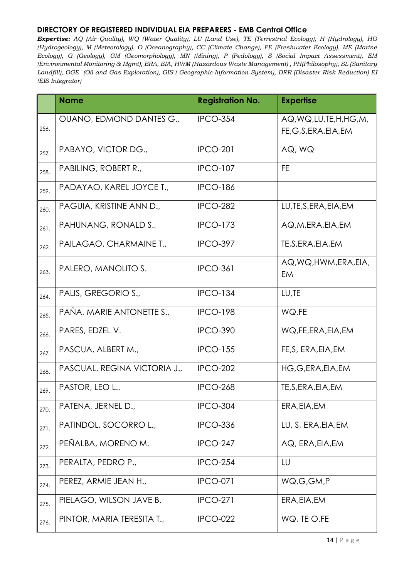|      | <b>Name</b>                  | <b>Registration No.</b> | <b>Expertise</b>                                    |
|------|------------------------------|-------------------------|-----------------------------------------------------|
| 256. | OUANO, EDMOND DANTES G.,     | <b>IPCO-354</b>         | AQ, WQ, LU, TE, H, HG, M,<br>FE, G, S, ERA, EIA, EM |
| 257. | PABAYO, VICTOR DG.,          | <b>IPCO-201</b>         | AQ, WQ                                              |
| 258. | PABILING, ROBERT R.,         | <b>IPCO-107</b>         | FE                                                  |
| 259. | PADAYAO, KAREL JOYCE T.,     | <b>IPCO-186</b>         |                                                     |
| 260. | PAGUIA, KRISTINE ANN D.,     | <b>IPCO-282</b>         | LU, TE, S, ERA, EIA, EM                             |
| 261. | PAHUNANG, RONALD S.,         | <b>IPCO-173</b>         | AQ,M,ERA,EIA,EM                                     |
| 262. | PAILAGAO, CHARMAINE T.,      | <b>IPCO-397</b>         | TE, S, ERA, EIA, EM                                 |
| 263. | PALERO, MANOLITO S.          | <b>IPCO-361</b>         | AQ, WQ, HWM, ERA, EIA,<br>EM                        |
| 264. | PALIS, GREGORIO S.,          | <b>IPCO-134</b>         | LU,TE                                               |
| 265. | PAÑA, MARIE ANTONETTE S.,    | <b>IPCO-198</b>         | WQ,FE                                               |
| 266. | PARES, EDZEL V.              | <b>IPCO-390</b>         | WQ, FE, ERA, EIA, EM                                |
| 267. | PASCUA, ALBERT M.,           | <b>IPCO-155</b>         | FE, S, ERA, EIA, EM                                 |
| 268. | PASCUAL, REGINA VICTORIA J., | <b>IPCO-202</b>         | HG, G, ERA, EIA, EM                                 |
| 269. | PASTOR, LEO L.,              | <b>IPCO-268</b>         | TE, S, ERA, EIA, EM                                 |
| 270. | PATENA, JERNEL D.,           | <b>IPCO-304</b>         | ERA, EIA, EM                                        |
| 271. | PATINDOL, SOCORRO L.,        | <b>IPCO-336</b>         | LU, S, ERA, EIA, EM                                 |
| 272. | PEÑALBA, MORENO M.           | <b>IPCO-247</b>         | AQ, ERA, EIA, EM                                    |
| 273. | PERALTA, PEDRO P.,           | <b>IPCO-254</b>         | LU                                                  |
| 274. | PEREZ, ARMIE JEAN H.,        | <b>IPCO-071</b>         | WQ,G,GM,P                                           |
| 275. | PIELAGO, WILSON JAVE B.      | <b>IPCO-271</b>         | ERA, EIA, EM                                        |
| 276. | PINTOR, MARIA TERESITA T.,   | <b>IPCO-022</b>         | WQ, TE O, FE                                        |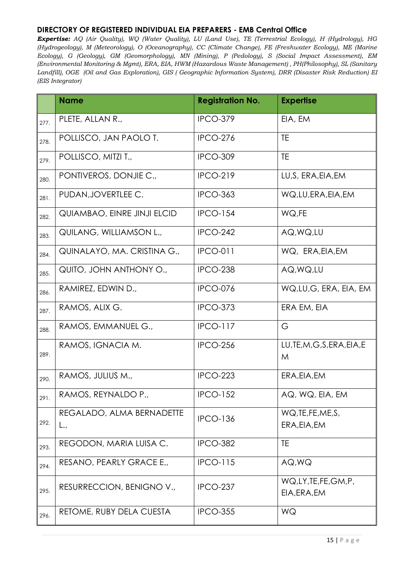|      | <b>Name</b>                                         | <b>Registration No.</b> | <b>Expertise</b>                   |
|------|-----------------------------------------------------|-------------------------|------------------------------------|
| 277. | PLETE, ALLAN R.,                                    | <b>IPCO-379</b>         | EIA, EM                            |
| 278. | POLLISCO, JAN PAOLO T.                              | <b>IPCO-276</b>         | <b>TE</b>                          |
| 279. | POLLISCO, MITZI T.,                                 | <b>IPCO-309</b>         | TE                                 |
| 280. | PONTIVEROS, DONJIE C.,                              | <b>IPCO-219</b>         | LU, S, ERA, EIA, EM                |
| 281. | PUDAN, JOVERTLEE C.                                 | <b>IPCO-363</b>         | WQ,LU,ERA,EIA,EM                   |
| 282. | <b>QUIAMBAO, EINRE JINJI ELCID</b>                  | <b>IPCO-154</b>         | WQ,FE                              |
| 283. | QUILANG, WILLIAMSON L.,                             | <b>IPCO-242</b>         | AQ, WQ, LU                         |
| 284. | QUINALAYO, MA. CRISTINA G.,                         | <b>IPCO-011</b>         | WQ, ERA, EIA, EM                   |
| 285. | QUITO, JOHN ANTHONY O.,                             | <b>IPCO-238</b>         | AQ, WQ, LU                         |
| 286. | RAMIREZ, EDWIN D.,                                  | <b>IPCO-076</b>         | WQ,LU,G, ERA, EIA, EM              |
| 287. | RAMOS, ALIX G.                                      | <b>IPCO-373</b>         | ERA EM, EIA                        |
| 288. | RAMOS, EMMANUEL G.,                                 | <b>IPCO-117</b>         | G                                  |
| 289. | RAMOS, IGNACIA M.                                   | <b>IPCO-256</b>         | LU, TE, M, G, S, ERA, EIA, E<br>M  |
| 290. | RAMOS, JULIUS M.,                                   | <b>IPCO-223</b>         | ERA, EIA, EM                       |
| 291. | RAMOS, REYNALDO P.,                                 | <b>IPCO-152</b>         | AQ, WQ, EIA, EM                    |
| 292. | REGALADO, ALMA BERNADETTE<br>$\mathsf{L}_{\bullet}$ | <b>IPCO-136</b>         | WQ, TE, FE, ME, S,<br>ERA, EIA, EM |
| 293. | REGODON, MARIA LUISA C.                             | <b>IPCO-382</b>         | TE                                 |
| 294. | RESANO, PEARLY GRACE E.,                            | <b>IPCO-115</b>         | AQ, WQ                             |
| 295. | RESURRECCION, BENIGNO V.,                           | <b>IPCO-237</b>         | WQ,LY,TE,FE,GM,P,<br>EIA, ERA, EM  |
| 296. | RETOME, RUBY DELA CUESTA                            | <b>IPCO-355</b>         | WQ                                 |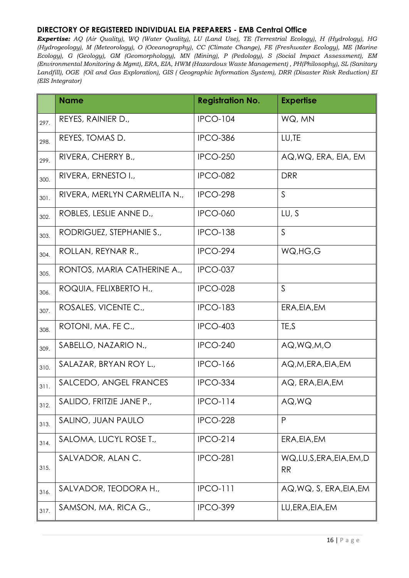|      | <b>Name</b>                  | <b>Registration No.</b> | <b>Expertise</b>                  |
|------|------------------------------|-------------------------|-----------------------------------|
| 297. | REYES, RAINIER D.,           | <b>IPCO-104</b>         | WQ, MN                            |
| 298. | REYES, TOMAS D.              | <b>IPCO-386</b>         | LU,TE                             |
| 299. | RIVERA, CHERRY B.,           | <b>IPCO-250</b>         | AQ, WQ, ERA, EIA, EM              |
| 300. | RIVERA, ERNESTO I.,          | <b>IPCO-082</b>         | <b>DRR</b>                        |
| 301. | RIVERA, MERLYN CARMELITA N., | <b>IPCO-298</b>         | $\mathsf{S}$                      |
| 302. | ROBLES, LESLIE ANNE D.,      | <b>IPCO-060</b>         | LU, S                             |
| 303. | RODRIGUEZ, STEPHANIE S.,     | <b>IPCO-138</b>         | $\mathsf{S}$                      |
| 304. | ROLLAN, REYNAR R.,           | <b>IPCO-294</b>         | WQ, HG, G                         |
| 305. | RONTOS, MARIA CATHERINE A.,  | IPCO-037                |                                   |
| 306. | ROQUIA, FELIXBERTO H.,       | <b>IPCO-028</b>         | S                                 |
| 307. | ROSALES, VICENTE C.,         | <b>IPCO-183</b>         | ERA, EIA, EM                      |
| 308. | ROTONI, MA. FE C.,           | <b>IPCO-403</b>         | TE,S                              |
| 309. | SABELLO, NAZARIO N.,         | <b>IPCO-240</b>         | AQ, WQ, M, O                      |
| 310. | SALAZAR, BRYAN ROY L.,       | <b>IPCO-166</b>         | AQ, M, ERA, EIA, EM               |
| 311. | SALCEDO, ANGEL FRANCES       | <b>IPCO-334</b>         | AQ, ERA, EIA, EM                  |
| 312. | SALIDO, FRITZIE JANE P.,     | $IPCO-114$              | AQ, WQ                            |
| 313. | SALINO, JUAN PAULO           | <b>IPCO-228</b>         | P                                 |
| 314. | SALOMA, LUCYL ROSE T.,       | <b>IPCO-214</b>         | ERA, EIA, EM                      |
| 315. | SALVADOR, ALANC.             | <b>IPCO-281</b>         | WQ,LU,S,ERA,EIA,EM,D<br><b>RR</b> |
| 316. | SALVADOR, TEODORA H.,        | <b>IPCO-111</b>         | AQ, WQ, S, ERA, EIA, EM           |
| 317. | SAMSON, MA. RICA G.,         | <b>IPCO-399</b>         | LU, ERA, EIA, EM                  |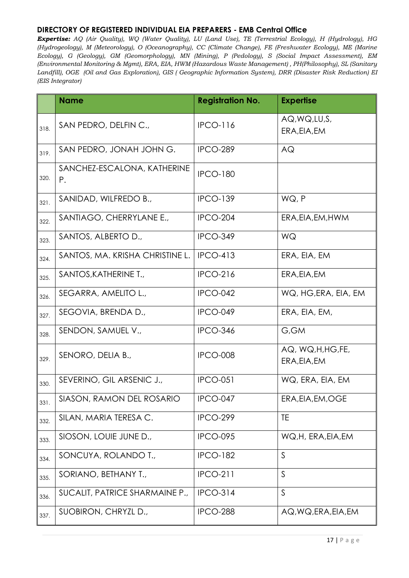|      | <b>Name</b>                       | <b>Registration No.</b> | <b>Expertise</b>                   |
|------|-----------------------------------|-------------------------|------------------------------------|
| 318. | SAN PEDRO, DELFINC.,              | <b>IPCO-116</b>         | AQ, WQ, LU, S,<br>ERA, EIA, EM     |
| 319. | SAN PEDRO, JONAH JOHN G.          | <b>IPCO-289</b>         | AQ                                 |
| 320. | SANCHEZ-ESCALONA, KATHERINE<br>Ρ. | <b>IPCO-180</b>         |                                    |
| 321. | SANIDAD, WILFREDO B.,             | <b>IPCO-139</b>         | WQ, P                              |
| 322. | SANTIAGO, CHERRYLANE E.,          | <b>IPCO-204</b>         | ERA, EIA, EM, HWM                  |
| 323. | SANTOS, ALBERTO D.,               | <b>IPCO-349</b>         | WQ                                 |
| 324. | SANTOS, MA. KRISHA CHRISTINE L.   | <b>IPCO-413</b>         | ERA, EIA, EM                       |
| 325. | SANTOS, KATHERINE T.,             | <b>IPCO-216</b>         | ERA, EIA, EM                       |
| 326. | SEGARRA, AMELITO L.,              | <b>IPCO-042</b>         | WQ, HG, ERA, EIA, EM               |
| 327. | SEGOVIA, BRENDA D.,               | IPCO-049                | ERA, EIA, EM,                      |
| 328. | SENDON, SAMUEL V.,                | <b>IPCO-346</b>         | G,GM                               |
| 329. | SENORO, DELIA B.,                 | <b>IPCO-008</b>         | AQ, WQ, H, HG, FE,<br>ERA, EIA, EM |
| 330. | SEVERINO, GIL ARSENIC J.,         | <b>IPCO-051</b>         | WQ, ERA, EIA, EM                   |
| 331. | SIASON, RAMON DEL ROSARIO         | IPCO-047                | ERA, EIA, EM, OGE                  |
| 332. | SILAN, MARIA TERESA C.            | <b>IPCO-299</b>         | TE                                 |
| 333. | SIOSON, LOUIE JUNE D.,            | <b>IPCO-095</b>         | WQ, H, ERA, EIA, EM                |
| 334. | SONCUYA, ROLANDO T.,              | <b>IPCO-182</b>         | $\mathsf{S}$                       |
| 335. | SORIANO, BETHANY T.,              | <b>IPCO-211</b>         | S                                  |
| 336. | SUCALIT, PATRICE SHARMAINE P.,    | <b>IPCO-314</b>         | $\mathsf{S}$                       |
| 337. | SUOBIRON, CHRYZL D.,              | <b>IPCO-288</b>         | AQ, WQ, ERA, EIA, EM               |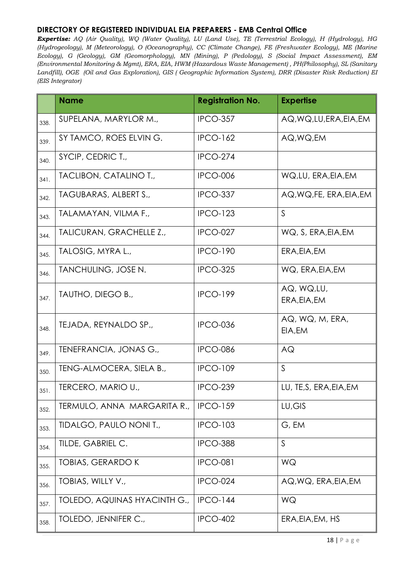|      | <b>Name</b>                  | <b>Registration No.</b> | <b>Expertise</b>           |
|------|------------------------------|-------------------------|----------------------------|
| 338. | SUPELANA, MARYLOR M.,        | <b>IPCO-357</b>         | AQ, WQ, LU, ERA, EIA, EM   |
| 339. | SY TAMCO, ROES ELVING.       | <b>IPCO-162</b>         | AQ, WQ, EM                 |
| 340. | SYCIP, CEDRIC T.,            | <b>IPCO-274</b>         |                            |
| 341. | TACLIBON, CATALINO T.,       | <b>IPCO-006</b>         | WQ,LU, ERA, EIA, EM        |
| 342. | TAGUBARAS, ALBERT S.,        | <b>IPCO-337</b>         | AQ, WQ, FE, ERA, EIA, EM   |
| 343. | TALAMAYAN, VILMA F.,         | <b>IPCO-123</b>         | $\mathsf{S}$               |
| 344. | TALICURAN, GRACHELLE Z.,     | <b>IPCO-027</b>         | WQ, S, ERA, EIA, EM        |
| 345. | TALOSIG, MYRA L.,            | <b>IPCO-190</b>         | ERA, EIA, EM               |
| 346. | TANCHULING, JOSE N.          | <b>IPCO-325</b>         | WQ, ERA, EIA, EM           |
| 347. | TAUTHO, DIEGO B.,            | <b>IPCO-199</b>         | AQ, WQ,LU,<br>ERA, EIA, EM |
| 348. | TEJADA, REYNALDO SP.,        | <b>IPCO-036</b>         | AQ, WQ, M, ERA,<br>EIA, EM |
| 349. | TENEFRANCIA, JONAS G.,       | <b>IPCO-086</b>         | AQ                         |
| 350. | TENG-ALMOCERA, SIELA B.,     | <b>IPCO-109</b>         | S                          |
| 351. | TERCERO, MARIO U.,           | <b>IPCO-239</b>         | LU, TE, S, ERA, EIA, EM    |
| 352. | TERMULO, ANNA MARGARITA R.,  | <b>IPCO-159</b>         | LU, GIS                    |
| 353. | TIDALGO, PAULO NONI T.,      | <b>IPCO-103</b>         | G, EM                      |
| 354. | TILDE, GABRIEL C.            | <b>IPCO-388</b>         | $\mathsf{S}$               |
| 355. | <b>TOBIAS, GERARDO K</b>     | <b>IPCO-081</b>         | WQ                         |
| 356. | TOBIAS, WILLY V.,            | <b>IPCO-024</b>         | AQ, WQ, ERA, EIA, EM       |
| 357. | TOLEDO, AQUINAS HYACINTH G., | <b>IPCO-144</b>         | WQ                         |
| 358. | TOLEDO, JENNIFER C.,         | <b>IPCO-402</b>         | ERA, EIA, EM, HS           |